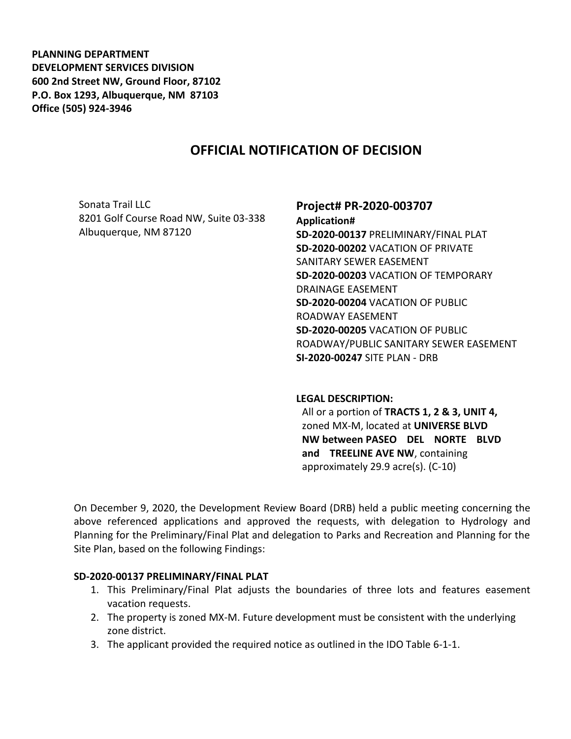**PLANNING DEPARTMENT DEVELOPMENT SERVICES DIVISION 600 2nd Street NW, Ground Floor, 87102 P.O. Box 1293, Albuquerque, NM 87103 Office (505) 924-3946** 

# **OFFICIAL NOTIFICATION OF DECISION**

Sonata Trail LLC 8201 Golf Course Road NW, Suite 03-338 Albuquerque, NM 87120

# **Project# PR-2020-003707**

**Application# SD-2020-00137** PRELIMINARY/FINAL PLAT **SD-2020-00202** VACATION OF PRIVATE SANITARY SEWER EASEMENT **SD-2020-00203** VACATION OF TEMPORARY DRAINAGE EASEMENT **SD-2020-00204** VACATION OF PUBLIC ROADWAY EASEMENT **SD-2020-00205** VACATION OF PUBLIC ROADWAY/PUBLIC SANITARY SEWER EASEMENT **SI-2020-00247** SITE PLAN - DRB

#### **LEGAL DESCRIPTION:**

All or a portion of **TRACTS 1, 2 & 3, UNIT 4,**  zoned MX-M, located at **UNIVERSE BLVD NW between PASEO DEL NORTE BLVD and TREELINE AVE NW**, containing approximately 29.9 acre(s). (C-10)

On December 9, 2020, the Development Review Board (DRB) held a public meeting concerning the above referenced applications and approved the requests, with delegation to Hydrology and Planning for the Preliminary/Final Plat and delegation to Parks and Recreation and Planning for the Site Plan, based on the following Findings:

#### **SD-2020-00137 PRELIMINARY/FINAL PLAT**

- 1. This Preliminary/Final Plat adjusts the boundaries of three lots and features easement vacation requests.
- 2. The property is zoned MX-M. Future development must be consistent with the underlying zone district.
- 3. The applicant provided the required notice as outlined in the IDO Table 6-1-1.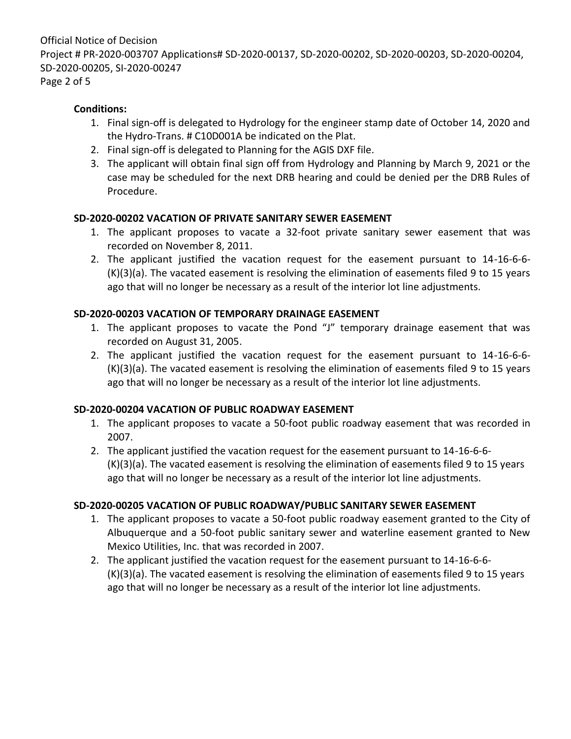Official Notice of Decision Project # PR-2020-003707 Applications# SD-2020-00137, SD-2020-00202, SD-2020-00203, SD-2020-00204, SD-2020-00205, SI-2020-00247 Page 2 of 5

#### **Conditions:**

- 1. Final sign-off is delegated to Hydrology for the engineer stamp date of October 14, 2020 and the Hydro-Trans. # C10D001A be indicated on the Plat.
- 2. Final sign-off is delegated to Planning for the AGIS DXF file.
- 3. The applicant will obtain final sign off from Hydrology and Planning by March 9, 2021 or the case may be scheduled for the next DRB hearing and could be denied per the DRB Rules of Procedure.

# **SD-2020-00202 VACATION OF PRIVATE SANITARY SEWER EASEMENT**

- 1. The applicant proposes to vacate a 32-foot private sanitary sewer easement that was recorded on November 8, 2011.
- 2. The applicant justified the vacation request for the easement pursuant to 14-16-6-6- (K)(3)(a). The vacated easement is resolving the elimination of easements filed 9 to 15 years ago that will no longer be necessary as a result of the interior lot line adjustments.

#### **SD-2020-00203 VACATION OF TEMPORARY DRAINAGE EASEMENT**

- 1. The applicant proposes to vacate the Pond "J" temporary drainage easement that was recorded on August 31, 2005.
- 2. The applicant justified the vacation request for the easement pursuant to 14-16-6-6- (K)(3)(a). The vacated easement is resolving the elimination of easements filed 9 to 15 years ago that will no longer be necessary as a result of the interior lot line adjustments.

# **SD-2020-00204 VACATION OF PUBLIC ROADWAY EASEMENT**

- 1. The applicant proposes to vacate a 50-foot public roadway easement that was recorded in 2007.
- 2. The applicant justified the vacation request for the easement pursuant to 14-16-6-6- (K)(3)(a). The vacated easement is resolving the elimination of easements filed 9 to 15 years ago that will no longer be necessary as a result of the interior lot line adjustments.

# **SD-2020-00205 VACATION OF PUBLIC ROADWAY/PUBLIC SANITARY SEWER EASEMENT**

- 1. The applicant proposes to vacate a 50-foot public roadway easement granted to the City of Albuquerque and a 50-foot public sanitary sewer and waterline easement granted to New Mexico Utilities, Inc. that was recorded in 2007.
- 2. The applicant justified the vacation request for the easement pursuant to 14-16-6-6- (K)(3)(a). The vacated easement is resolving the elimination of easements filed 9 to 15 years ago that will no longer be necessary as a result of the interior lot line adjustments.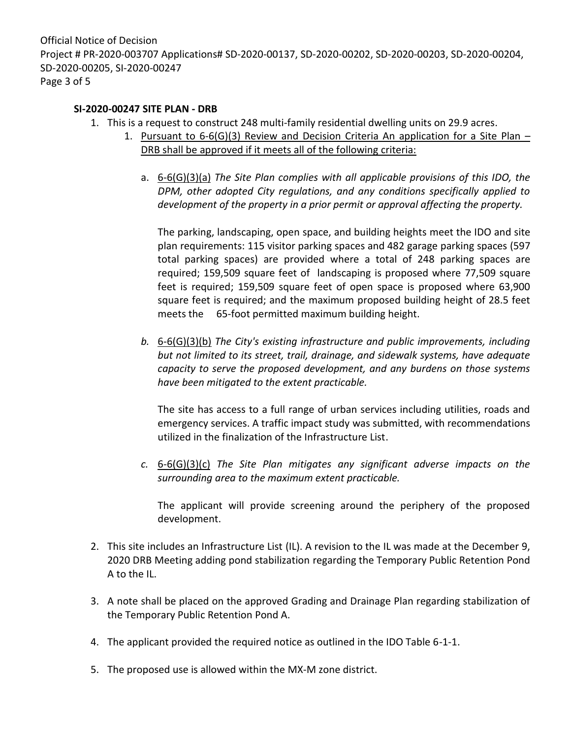Official Notice of Decision Project # PR-2020-003707 Applications# SD-2020-00137, SD-2020-00202, SD-2020-00203, SD-2020-00204, SD-2020-00205, SI-2020-00247 Page 3 of 5

#### **SI-2020-00247 SITE PLAN - DRB**

- 1. This is a request to construct 248 multi-family residential dwelling units on 29.9 acres.
	- 1. Pursuant to  $6-6(G)(3)$  Review and Decision Criteria An application for a Site Plan DRB shall be approved if it meets all of the following criteria:
		- a. 6-6(G)(3)(a) *The Site Plan complies with all applicable provisions of this IDO, the DPM, other adopted City regulations, and any conditions specifically applied to development of the property in a prior permit or approval affecting the property.*

The parking, landscaping, open space, and building heights meet the IDO and site plan requirements: 115 visitor parking spaces and 482 garage parking spaces (597 total parking spaces) are provided where a total of 248 parking spaces are required; 159,509 square feet of landscaping is proposed where 77,509 square feet is required; 159,509 square feet of open space is proposed where 63,900 square feet is required; and the maximum proposed building height of 28.5 feet meets the 65-foot permitted maximum building height.

*b.* 6-6(G)(3)(b) *The City's existing infrastructure and public improvements, including but not limited to its street, trail, drainage, and sidewalk systems, have adequate capacity to serve the proposed development, and any burdens on those systems have been mitigated to the extent practicable.* 

The site has access to a full range of urban services including utilities, roads and emergency services. A traffic impact study was submitted, with recommendations utilized in the finalization of the Infrastructure List.

*c.* 6-6(G)(3)(c) *The Site Plan mitigates any significant adverse impacts on the surrounding area to the maximum extent practicable.* 

The applicant will provide screening around the periphery of the proposed development.

- 2. This site includes an Infrastructure List (IL). A revision to the IL was made at the December 9, 2020 DRB Meeting adding pond stabilization regarding the Temporary Public Retention Pond A to the IL.
- 3. A note shall be placed on the approved Grading and Drainage Plan regarding stabilization of the Temporary Public Retention Pond A.
- 4. The applicant provided the required notice as outlined in the IDO Table 6-1-1.
- 5. The proposed use is allowed within the MX-M zone district.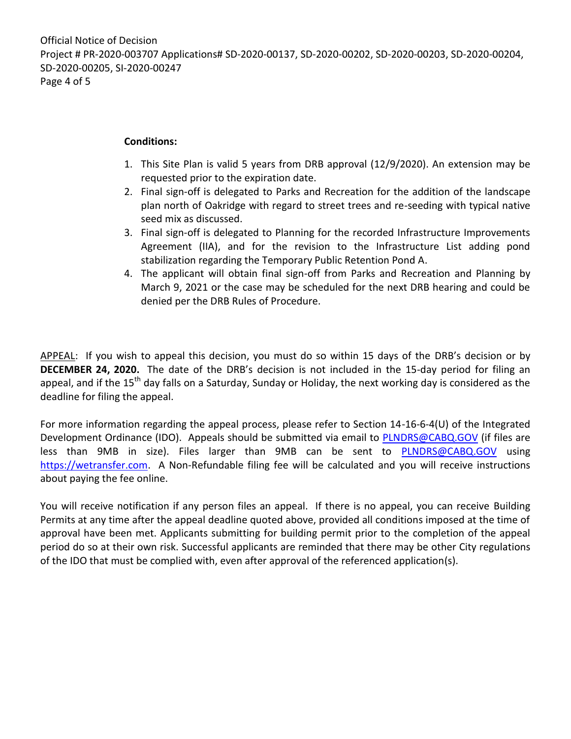#### **Conditions:**

- 1. This Site Plan is valid 5 years from DRB approval (12/9/2020). An extension may be requested prior to the expiration date.
- 2. Final sign-off is delegated to Parks and Recreation for the addition of the landscape plan north of Oakridge with regard to street trees and re-seeding with typical native seed mix as discussed.
- 3. Final sign-off is delegated to Planning for the recorded Infrastructure Improvements Agreement (IIA), and for the revision to the Infrastructure List adding pond stabilization regarding the Temporary Public Retention Pond A.
- 4. The applicant will obtain final sign-off from Parks and Recreation and Planning by March 9, 2021 or the case may be scheduled for the next DRB hearing and could be denied per the DRB Rules of Procedure.

APPEAL: If you wish to appeal this decision, you must do so within 15 days of the DRB's decision or by **DECEMBER 24, 2020.** The date of the DRB's decision is not included in the 15-day period for filing an appeal, and if the 15<sup>th</sup> day falls on a Saturday, Sunday or Holiday, the next working day is considered as the deadline for filing the appeal.

For more information regarding the appeal process, please refer to Section 14-16-6-4(U) of the Integrated Development Ordinance (IDO). Appeals should be submitted via email to [PLNDRS@CABQ.GOV](mailto:PLNDRS@CABQ.GOV) (if files are less than 9MB in size). Files larger than 9MB can be sent to **[PLNDRS@CABQ.GOV](mailto:PLNDRS@CABQ.GOV)** using [https://wetransfer.com.](https://wetransfer.com/) A Non-Refundable filing fee will be calculated and you will receive instructions about paying the fee online.

You will receive notification if any person files an appeal. If there is no appeal, you can receive Building Permits at any time after the appeal deadline quoted above, provided all conditions imposed at the time of approval have been met. Applicants submitting for building permit prior to the completion of the appeal period do so at their own risk. Successful applicants are reminded that there may be other City regulations of the IDO that must be complied with, even after approval of the referenced application(s).